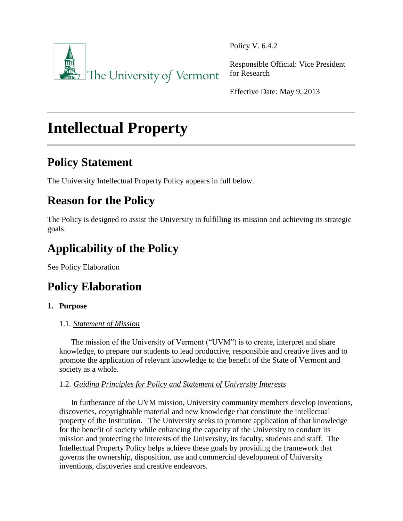

Policy V. 6.4.2

Responsible Official: Vice President for Research

Effective Date: May 9, 2013

# **Intellectual Property**

# **Policy Statement**

The University Intellectual Property Policy appears in full below.

# **Reason for the Policy**

The Policy is designed to assist the University in fulfilling its mission and achieving its strategic goals.

# **Applicability of the Policy**

See Policy Elaboration

# **Policy Elaboration**

## **1. Purpose**

## 1.1. *Statement of Mission*

The mission of the University of Vermont ("UVM") is to create, interpret and share knowledge, to prepare our students to lead productive, responsible and creative lives and to promote the application of relevant knowledge to the benefit of the State of Vermont and society as a whole.

## 1.2. *Guiding Principles for Policy and Statement of University Interests*

In furtherance of the UVM mission, University community members develop inventions, discoveries, copyrightable material and new knowledge that constitute the intellectual property of the Institution. The University seeks to promote application of that knowledge for the benefit of society while enhancing the capacity of the University to conduct its mission and protecting the interests of the University, its faculty, students and staff. The Intellectual Property Policy helps achieve these goals by providing the framework that governs the ownership, disposition, use and commercial development of University inventions, discoveries and creative endeavors.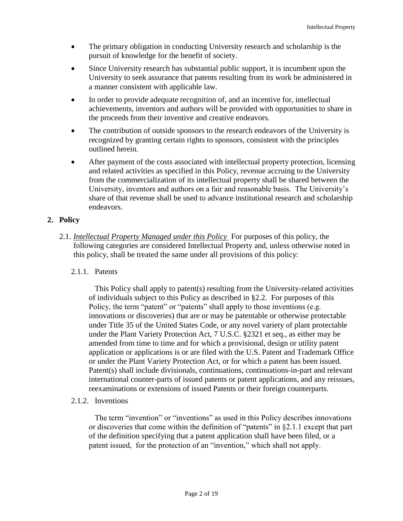- The primary obligation in conducting University research and scholarship is the pursuit of knowledge for the benefit of society.
- Since University research has substantial public support, it is incumbent upon the University to seek assurance that patents resulting from its work be administered in a manner consistent with applicable law.
- In order to provide adequate recognition of, and an incentive for, intellectual achievements, inventors and authors will be provided with opportunities to share in the proceeds from their inventive and creative endeavors.
- The contribution of outside sponsors to the research endeavors of the University is recognized by granting certain rights to sponsors, consistent with the principles outlined herein.
- After payment of the costs associated with intellectual property protection, licensing and related activities as specified in this Policy, revenue accruing to the University from the commercialization of its intellectual property shall be shared between the University, inventors and authors on a fair and reasonable basis. The University's share of that revenue shall be used to advance institutional research and scholarship endeavors.

### **2. Policy**

- 2.1. *Intellectual Property Managed under this Policy* For purposes of this policy, the following categories are considered Intellectual Property and, unless otherwise noted in this policy, shall be treated the same under all provisions of this policy:
	- 2.1.1. Patents

This Policy shall apply to patent(s) resulting from the University-related activities of individuals subject to this Policy as described in §2.2. For purposes of this Policy, the term "patent" or "patents" shall apply to those inventions (e.g. innovations or discoveries) that are or may be patentable or otherwise protectable under Title 35 of the United States Code, or any novel variety of plant protectable under the Plant Variety Protection Act, 7 U.S.C. §2321 et seq., as either may be amended from time to time and for which a provisional, design or utility patent application or applications is or are filed with the U.S. Patent and Trademark Office or under the Plant Variety Protection Act, or for which a patent has been issued. Patent(s) shall include divisionals, continuations, continuations-in-part and relevant international counter-parts of issued patents or patent applications, and any reissues, reexaminations or extensions of issued Patents or their foreign counterparts.

2.1.2. Inventions

The term "invention" or "inventions" as used in this Policy describes innovations or discoveries that come within the definition of "patents" in §2.1.1 except that part of the definition specifying that a patent application shall have been filed, or a patent issued, for the protection of an "invention," which shall not apply.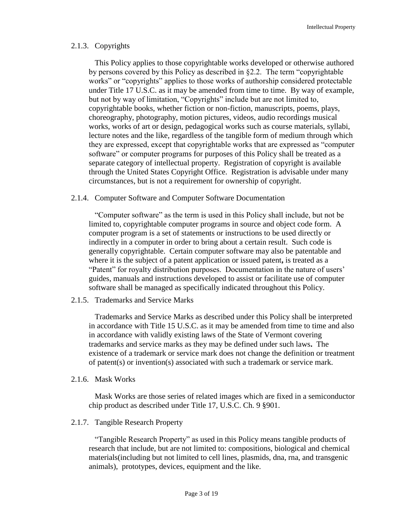#### 2.1.3. Copyrights

This Policy applies to those copyrightable works developed or otherwise authored by persons covered by this Policy as described in §2.2. The term "copyrightable works" or "copyrights" applies to those works of authorship considered protectable under Title 17 U.S.C. as it may be amended from time to time. By way of example, but not by way of limitation, "Copyrights" include but are not limited to, copyrightable books, whether fiction or non-fiction, manuscripts, poems, plays, choreography, photography, motion pictures, videos, audio recordings musical works, works of art or design, pedagogical works such as course materials, syllabi, lecture notes and the like, regardless of the tangible form of medium through which they are expressed, except that copyrightable works that are expressed as "computer software" or computer programs for purposes of this Policy shall be treated as a separate category of intellectual property. Registration of copyright is available through the United States Copyright Office. Registration is advisable under many circumstances, but is not a requirement for ownership of copyright.

#### 2.1.4. Computer Software and Computer Software Documentation

"Computer software" as the term is used in this Policy shall include, but not be limited to, copyrightable computer programs in source and object code form. A computer program is a set of statements or instructions to be used directly or indirectly in a computer in order to bring about a certain result. Such code is generally copyrightable. Certain computer software may also be patentable and where it is the subject of a patent application or issued patent**,** is treated as a "Patent" for royalty distribution purposes. Documentation in the nature of users' guides, manuals and instructions developed to assist or facilitate use of computer software shall be managed as specifically indicated throughout this Policy.

#### 2.1.5. Trademarks and Service Marks

Trademarks and Service Marks as described under this Policy shall be interpreted in accordance with Title 15 U.S.C. as it may be amended from time to time and also in accordance with validly existing laws of the State of Vermont covering trademarks and service marks as they may be defined under such laws**.** The existence of a trademark or service mark does not change the definition or treatment of patent(s) or invention(s) associated with such a trademark or service mark.

#### 2.1.6. Mask Works

Mask Works are those series of related images which are fixed in a semiconductor chip product as described under Title 17, U.S.C. Ch. 9 §901.

#### 2.1.7. Tangible Research Property

"Tangible Research Property" as used in this Policy means tangible products of research that include, but are not limited to: compositions, biological and chemical materials(including but not limited to cell lines, plasmids, dna, rna, and transgenic animals), prototypes, devices, equipment and the like.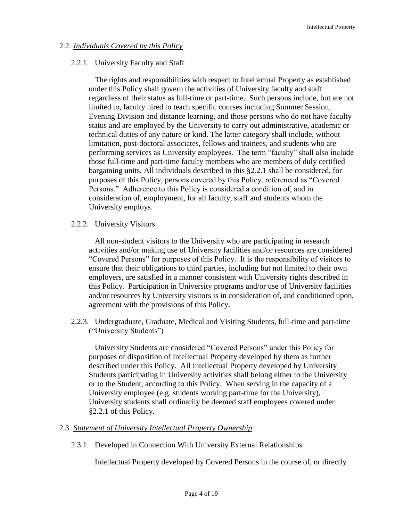### 2.2. *Individuals Covered by this Policy*

### 2.2.1. University Faculty and Staff

The rights and responsibilities with respect to Intellectual Property as established under this Policy shall govern the activities of University faculty and staff regardless of their status as full-time or part-time. Such persons include, but are not limited to, faculty hired to teach specific courses including Summer Session, Evening Division and distance learning, and those persons who do not have faculty status and are employed by the University to carry out administrative, academic or technical duties of any nature or kind. The latter category shall include, without limitation, post-doctoral associates, fellows and trainees, and students who are performing services as University employees. The term "faculty" shall also include those full-time and part-time faculty members who are members of duly certified bargaining units. All individuals described in this §2.2.1 shall be considered, for purposes of this Policy, persons covered by this Policy, referenced as "Covered Persons." Adherence to this Policy is considered a condition of, and in consideration of, employment, for all faculty, staff and students whom the University employs.

2.2.2. University Visitors

All non-student visitors to the University who are participating in research activities and/or making use of University facilities and/or resources are considered "Covered Persons" for purposes of this Policy. It is the responsibility of visitors to ensure that their obligations to third parties, including but not limited to their own employers, are satisfied in a manner consistent with University rights described in this Policy. Participation in University programs and/or use of University facilities and/or resources by University visitors is in consideration of, and conditioned upon, agreement with the provisions of this Policy.

2.2.3. Undergraduate, Graduate, Medical and Visiting Students, full-time and part-time ("University Students")

University Students are considered "Covered Persons" under this Policy for purposes of disposition of Intellectual Property developed by them as further described under this Policy. All Intellectual Property developed by University Students participating in University activities shall belong either to the University or to the Student, according to this Policy. When serving in the capacity of a University employee (e.g. students working part-time for the University), University students shall ordinarily be deemed staff employees covered under §2.2.1 of this Policy.

### 2.3. *Statement of University Intellectual Property Ownership*

2.3.1. Developed in Connection With University External Relationships

Intellectual Property developed by Covered Persons in the course of, or directly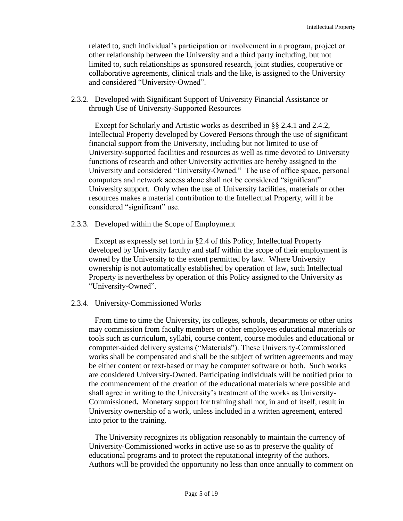related to, such individual's participation or involvement in a program, project or other relationship between the University and a third party including, but not limited to, such relationships as sponsored research, joint studies, cooperative or collaborative agreements, clinical trials and the like, is assigned to the University and considered "University-Owned".

2.3.2. Developed with Significant Support of University Financial Assistance or through Use of University-Supported Resources

Except for Scholarly and Artistic works as described in §§ 2.4.1 and 2.4.2, Intellectual Property developed by Covered Persons through the use of significant financial support from the University, including but not limited to use of University-supported facilities and resources as well as time devoted to University functions of research and other University activities are hereby assigned to the University and considered "University-Owned." The use of office space, personal computers and network access alone shall not be considered "significant" University support. Only when the use of University facilities, materials or other resources makes a material contribution to the Intellectual Property, will it be considered "significant" use.

2.3.3. Developed within the Scope of Employment

Except as expressly set forth in §2.4 of this Policy, Intellectual Property developed by University faculty and staff within the scope of their employment is owned by the University to the extent permitted by law. Where University ownership is not automatically established by operation of law, such Intellectual Property is nevertheless by operation of this Policy assigned to the University as "University-Owned".

#### 2.3.4. University-Commissioned Works

From time to time the University, its colleges, schools, departments or other units may commission from faculty members or other employees educational materials or tools such as curriculum, syllabi, course content, course modules and educational or computer-aided delivery systems ("Materials"). These University-Commissioned works shall be compensated and shall be the subject of written agreements and may be either content or text-based or may be computer software or both. Such works are considered University-Owned. Participating individuals will be notified prior to the commencement of the creation of the educational materials where possible and shall agree in writing to the University's treatment of the works as University-Commissioned**.** Monetary support for training shall not, in and of itself, result in University ownership of a work, unless included in a written agreement, entered into prior to the training.

The University recognizes its obligation reasonably to maintain the currency of University-Commissioned works in active use so as to preserve the quality of educational programs and to protect the reputational integrity of the authors. Authors will be provided the opportunity no less than once annually to comment on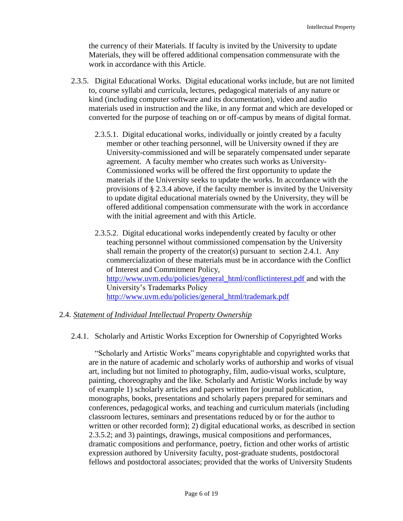the currency of their Materials. If faculty is invited by the University to update Materials, they will be offered additional compensation commensurate with the work in accordance with this Article.

- 2.3.5. Digital Educational Works. Digital educational works include, but are not limited to, course syllabi and curricula, lectures, pedagogical materials of any nature or kind (including computer software and its documentation), video and audio materials used in instruction and the like, in any format and which are developed or converted for the purpose of teaching on or off-campus by means of digital format.
	- 2.3.5.1. Digital educational works, individually or jointly created by a faculty member or other teaching personnel, will be University owned if they are University-commissioned and will be separately compensated under separate agreement. A faculty member who creates such works as University-Commissioned works will be offered the first opportunity to update the materials if the University seeks to update the works. In accordance with the provisions of § 2.3.4 above, if the faculty member is invited by the University to update digital educational materials owned by the University, they will be offered additional compensation commensurate with the work in accordance with the initial agreement and with this Article.
	- 2.3.5.2. Digital educational works independently created by faculty or other teaching personnel without commissioned compensation by the University shall remain the property of the creator(s) pursuant to section 2.4.1. Any commercialization of these materials must be in accordance with the Conflict of Interest and Commitment Policy, [http://www.uvm.edu/policies/general\\_html/conflictinterest.pdf](http://www.uvm.edu/policies/general_html/conflictinterest.pdf) and with the University's Trademarks Policy [http://www.uvm.edu/policies/general\\_html/trademark.pdf](http://www.uvm.edu/policies/general_html/trademark.pdf)

### 2.4. *Statement of Individual Intellectual Property Ownership*

2.4.1. Scholarly and Artistic Works Exception for Ownership of Copyrighted Works

"Scholarly and Artistic Works" means copyrightable and copyrighted works that are in the nature of academic and scholarly works of authorship and works of visual art, including but not limited to photography, film, audio-visual works, sculpture, painting, choreography and the like. Scholarly and Artistic Works include by way of example 1) scholarly articles and papers written for journal publication, monographs, books, presentations and scholarly papers prepared for seminars and conferences, pedagogical works, and teaching and curriculum materials (including classroom lectures, seminars and presentations reduced by or for the author to written or other recorded form); 2) digital educational works, as described in section 2.3.5.2; and 3) paintings, drawings, musical compositions and performances, dramatic compositions and performance, poetry, fiction and other works of artistic expression authored by University faculty, post-graduate students, postdoctoral fellows and postdoctoral associates; provided that the works of University Students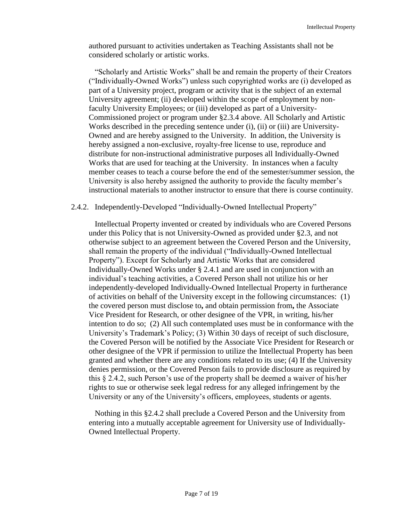authored pursuant to activities undertaken as Teaching Assistants shall not be considered scholarly or artistic works.

"Scholarly and Artistic Works" shall be and remain the property of their Creators ("Individually-Owned Works") unless such copyrighted works are (i) developed as part of a University project, program or activity that is the subject of an external University agreement; (ii) developed within the scope of employment by nonfaculty University Employees; or (iii) developed as part of a University-Commissioned project or program under §2.3.4 above. All Scholarly and Artistic Works described in the preceding sentence under (i), (ii) or (iii) are University-Owned and are hereby assigned to the University. In addition, the University is hereby assigned a non-exclusive, royalty-free license to use, reproduce and distribute for non-instructional administrative purposes all Individually-Owned Works that are used for teaching at the University. In instances when a faculty member ceases to teach a course before the end of the semester/summer session, the University is also hereby assigned the authority to provide the faculty member's instructional materials to another instructor to ensure that there is course continuity.

#### 2.4.2. Independently-Developed "Individually-Owned Intellectual Property"

Intellectual Property invented or created by individuals who are Covered Persons under this Policy that is not University-Owned as provided under §2.3, and not otherwise subject to an agreement between the Covered Person and the University, shall remain the property of the individual ("Individually-Owned Intellectual Property"). Except for Scholarly and Artistic Works that are considered Individually-Owned Works under § 2.4.1 and are used in conjunction with an individual's teaching activities, a Covered Person shall not utilize his or her independently-developed Individually-Owned Intellectual Property in furtherance of activities on behalf of the University except in the following circumstances: (1) the covered person must disclose to**,** and obtain permission from**,** the Associate Vice President for Research, or other designee of the VPR, in writing, his/her intention to do so; (2) All such contemplated uses must be in conformance with the University's Trademark's Policy; (3) Within 30 days of receipt of such disclosure, the Covered Person will be notified by the Associate Vice President for Research or other designee of the VPR if permission to utilize the Intellectual Property has been granted and whether there are any conditions related to its use; (4) If the University denies permission, or the Covered Person fails to provide disclosure as required by this § 2.4.2, such Person's use of the property shall be deemed a waiver of his/her rights to sue or otherwise seek legal redress for any alleged infringement by the University or any of the University's officers, employees, students or agents.

Nothing in this §2.4.2 shall preclude a Covered Person and the University from entering into a mutually acceptable agreement for University use of Individually-Owned Intellectual Property.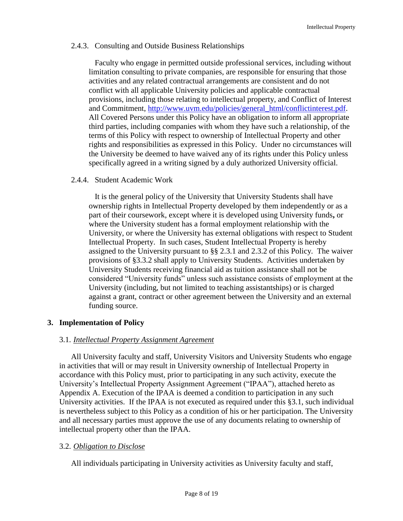### 2.4.3. Consulting and Outside Business Relationships

Faculty who engage in permitted outside professional services, including without limitation consulting to private companies, are responsible for ensuring that those activities and any related contractual arrangements are consistent and do not conflict with all applicable University policies and applicable contractual provisions, including those relating to intellectual property, and Conflict of Interest and Commitment, [http://www.uvm.edu/policies/general\\_html/conflictinterest.pdf.](http://www.uvm.edu/policies/general_html/conflictinterest.pdf) All Covered Persons under this Policy have an obligation to inform all appropriate third parties, including companies with whom they have such a relationship, of the terms of this Policy with respect to ownership of Intellectual Property and other rights and responsibilities as expressed in this Policy. Under no circumstances will the University be deemed to have waived any of its rights under this Policy unless specifically agreed in a writing signed by a duly authorized University official.

### 2.4.4. Student Academic Work

It is the general policy of the University that University Students shall have ownership rights in Intellectual Property developed by them independently or as a part of their coursework, except where it is developed using University funds**,** or where the University student has a formal employment relationship with the University, or where the University has external obligations with respect to Student Intellectual Property. In such cases, Student Intellectual Property is hereby assigned to the University pursuant to §§ 2.3.1 and 2.3.2 of this Policy. The waiver provisions of §3.3.2 shall apply to University Students. Activities undertaken by University Students receiving financial aid as tuition assistance shall not be considered "University funds" unless such assistance consists of employment at the University (including, but not limited to teaching assistantships) or is charged against a grant, contract or other agreement between the University and an external funding source.

### **3. Implementation of Policy**

### 3.1. *Intellectual Property Assignment Agreement*

All University faculty and staff, University Visitors and University Students who engage in activities that will or may result in University ownership of Intellectual Property in accordance with this Policy must, prior to participating in any such activity, execute the University's Intellectual Property Assignment Agreement ("IPAA"), attached hereto as Appendix A. Execution of the IPAA is deemed a condition to participation in any such University activities. If the IPAA is not executed as required under this §3.1, such individual is nevertheless subject to this Policy as a condition of his or her participation. The University and all necessary parties must approve the use of any documents relating to ownership of intellectual property other than the IPAA.

### 3.2. *Obligation to Disclose*

All individuals participating in University activities as University faculty and staff,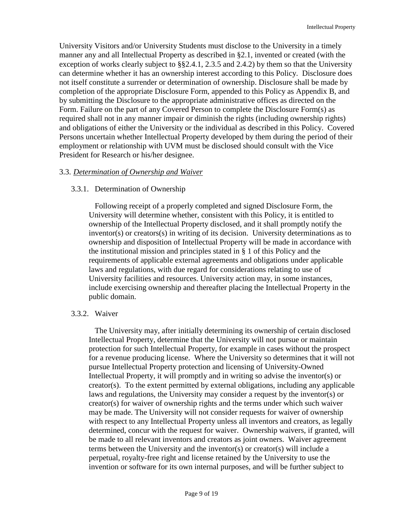University Visitors and/or University Students must disclose to the University in a timely manner any and all Intellectual Property as described in §2.1, invented or created (with the exception of works clearly subject to §§2.4.1, 2.3.5 and 2.4.2) by them so that the University can determine whether it has an ownership interest according to this Policy. Disclosure does not itself constitute a surrender or determination of ownership. Disclosure shall be made by completion of the appropriate Disclosure Form, appended to this Policy as Appendix B, and by submitting the Disclosure to the appropriate administrative offices as directed on the Form. Failure on the part of any Covered Person to complete the Disclosure Form(s) as required shall not in any manner impair or diminish the rights (including ownership rights) and obligations of either the University or the individual as described in this Policy. Covered Persons uncertain whether Intellectual Property developed by them during the period of their employment or relationship with UVM must be disclosed should consult with the Vice President for Research or his/her designee.

### 3.3. *Determination of Ownership and Waiver*

### 3.3.1. Determination of Ownership

Following receipt of a properly completed and signed Disclosure Form, the University will determine whether, consistent with this Policy, it is entitled to ownership of the Intellectual Property disclosed, and it shall promptly notify the inventor(s) or creators(s) in writing of its decision. University determinations as to ownership and disposition of Intellectual Property will be made in accordance with the institutional mission and principles stated in § 1 of this Policy and the requirements of applicable external agreements and obligations under applicable laws and regulations, with due regard for considerations relating to use of University facilities and resources. University action may, in some instances, include exercising ownership and thereafter placing the Intellectual Property in the public domain.

### 3.3.2. Waiver

The University may, after initially determining its ownership of certain disclosed Intellectual Property, determine that the University will not pursue or maintain protection for such Intellectual Property, for example in cases without the prospect for a revenue producing license.Where the University so determines that it will not pursue Intellectual Property protection and licensing of University-Owned Intellectual Property, it will promptly and in writing so advise the inventor(s) or creator(s). To the extent permitted by external obligations, including any applicable laws and regulations, the University may consider a request by the inventor(s) or creator(s) for waiver of ownership rights and the terms under which such waiver may be made. The University will not consider requests for waiver of ownership with respect to any Intellectual Property unless all inventors and creators, as legally determined, concur with the request for waiver. Ownership waivers, if granted, will be made to all relevant inventors and creators as joint owners. Waiver agreement terms between the University and the inventor(s) or creator(s) will include a perpetual, royalty-free right and license retained by the University to use the invention or software for its own internal purposes, and will be further subject to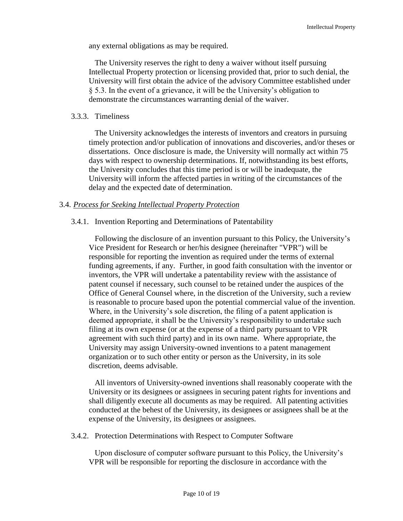any external obligations as may be required.

The University reserves the right to deny a waiver without itself pursuing Intellectual Property protection or licensing provided that, prior to such denial, the University will first obtain the advice of the advisory Committee established under § 5.3. In the event of a grievance, it will be the University's obligation to demonstrate the circumstances warranting denial of the waiver.

#### 3.3.3. Timeliness

The University acknowledges the interests of inventors and creators in pursuing timely protection and/or publication of innovations and discoveries, and/or theses or dissertations. Once disclosure is made, the University will normally act within 75 days with respect to ownership determinations. If, notwithstanding its best efforts, the University concludes that this time period is or will be inadequate, the University will inform the affected parties in writing of the circumstances of the delay and the expected date of determination.

### 3.4. *Process for Seeking Intellectual Property Protection*

### 3.4.1. Invention Reporting and Determinations of Patentability

Following the disclosure of an invention pursuant to this Policy, the University's Vice President for Research or her/his designee (hereinafter "VPR") will be responsible for reporting the invention as required under the terms of external funding agreements, if any. Further, in good faith consultation with the inventor or inventors, the VPR will undertake a patentability review with the assistance of patent counsel if necessary, such counsel to be retained under the auspices of the Office of General Counsel where, in the discretion of the University, such a review is reasonable to procure based upon the potential commercial value of the invention. Where, in the University's sole discretion, the filing of a patent application is deemed appropriate, it shall be the University's responsibility to undertake such filing at its own expense (or at the expense of a third party pursuant to VPR agreement with such third party) and in its own name. Where appropriate, the University may assign University-owned inventions to a patent management organization or to such other entity or person as the University, in its sole discretion, deems advisable.

All inventors of University-owned inventions shall reasonably cooperate with the University or its designees or assignees in securing patent rights for inventions and shall diligently execute all documents as may be required. All patenting activities conducted at the behest of the University, its designees or assignees shall be at the expense of the University, its designees or assignees.

### 3.4.2. Protection Determinations with Respect to Computer Software

Upon disclosure of computer software pursuant to this Policy, the University's VPR will be responsible for reporting the disclosure in accordance with the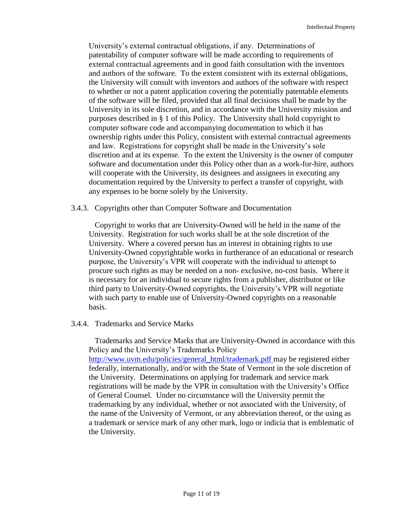University's external contractual obligations, if any. Determinations of patentability of computer software will be made according to requirements of external contractual agreements and in good faith consultation with the inventors and authors of the software. To the extent consistent with its external obligations, the University will consult with inventors and authors of the software with respect to whether or not a patent application covering the potentially patentable elements of the software will be filed, provided that all final decisions shall be made by the University in its sole discretion, and in accordance with the University mission and purposes described in § 1 of this Policy. The University shall hold copyright to computer software code and accompanying documentation to which it has ownership rights under this Policy, consistent with external contractual agreements and law. Registrations for copyright shall be made in the University's sole discretion and at its expense. To the extent the University is the owner of computer software and documentation under this Policy other than as a work-for-hire, authors will cooperate with the University, its designees and assignees in executing any documentation required by the University to perfect a transfer of copyright, with any expenses to be borne solely by the University.

### 3.4.3. Copyrights other than Computer Software and Documentation

Copyright to works that are University-Owned will be held in the name of the University. Registration for such works shall be at the sole discretion of the University. Where a covered person has an interest in obtaining rights to use University-Owned copyrightable works in furtherance of an educational or research purpose, the University's VPR will cooperate with the individual to attempt to procure such rights as may be needed on a non- exclusive, no-cost basis. Where it is necessary for an individual to secure rights from a publisher, distributor or like third party to University-Owned copyrights, the University's VPR will negotiate with such party to enable use of University-Owned copyrights on a reasonable basis.

### 3.4.4. Trademarks and Service Marks

Trademarks and Service Marks that are University-Owned in accordance with this Policy and the University's Trademarks Policy [http://www.uvm.edu/policies/general\\_html/trademark.pdf](http://www.uvm.edu/policies/general_html/trademark.pdf) may be registered either federally, internationally, and/or with the State of Vermont in the sole discretion of the University. Determinations on applying for trademark and service mark registrations will be made by the VPR in consultation with the University's Office of General Counsel. Under no circumstance will the University permit the trademarking by any individual, whether or not associated with the University, of the name of the University of Vermont, or any abbreviation thereof, or the using as a trademark or service mark of any other mark, logo or indicia that is emblematic of the University.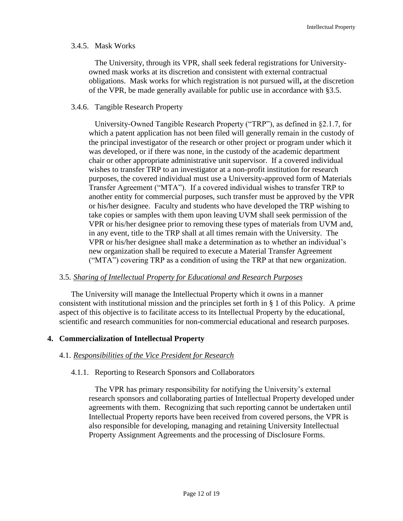### 3.4.5. Mask Works

The University, through its VPR, shall seek federal registrations for Universityowned mask works at its discretion and consistent with external contractual obligations. Mask works for which registration is not pursued will**,** at the discretion of the VPR, be made generally available for public use in accordance with §3.5.

### 3.4.6. Tangible Research Property

University-Owned Tangible Research Property ("TRP"), as defined in §2.1.7, for which a patent application has not been filed will generally remain in the custody of the principal investigator of the research or other project or program under which it was developed, or if there was none, in the custody of the academic department chair or other appropriate administrative unit supervisor. If a covered individual wishes to transfer TRP to an investigator at a non-profit institution for research purposes, the covered individual must use a University-approved form of Materials Transfer Agreement ("MTA"). If a covered individual wishes to transfer TRP to another entity for commercial purposes, such transfer must be approved by the VPR or his/her designee. Faculty and students who have developed the TRP wishing to take copies or samples with them upon leaving UVM shall seek permission of the VPR or his/her designee prior to removing these types of materials from UVM and, in any event, title to the TRP shall at all times remain with the University. The VPR or his/her designee shall make a determination as to whether an individual's new organization shall be required to execute a Material Transfer Agreement ("MTA") covering TRP as a condition of using the TRP at that new organization.

### 3.5. *Sharing of Intellectual Property for Educational and Research Purposes*

The University will manage the Intellectual Property which it owns in a manner consistent with institutional mission and the principles set forth in § 1 of this Policy. A prime aspect of this objective is to facilitate access to its Intellectual Property by the educational, scientific and research communities for non-commercial educational and research purposes.

### **4. Commercialization of Intellectual Property**

### 4.1. *Responsibilities of the Vice President for Research*

### 4.1.1. Reporting to Research Sponsors and Collaborators

The VPR has primary responsibility for notifying the University's external research sponsors and collaborating parties of Intellectual Property developed under agreements with them. Recognizing that such reporting cannot be undertaken until Intellectual Property reports have been received from covered persons, the VPR is also responsible for developing, managing and retaining University Intellectual Property Assignment Agreements and the processing of Disclosure Forms.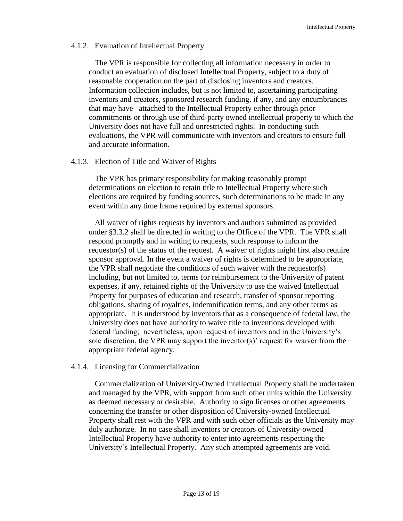#### 4.1.2. Evaluation of Intellectual Property

The VPR is responsible for collecting all information necessary in order to conduct an evaluation of disclosed Intellectual Property, subject to a duty of reasonable cooperation on the part of disclosing inventors and creators. Information collection includes, but is not limited to, ascertaining participating inventors and creators, sponsored research funding, if any, and any encumbrances that may have attached to the Intellectual Property either through prior commitments or through use of third-party owned intellectual property to which the University does not have full and unrestricted rights. In conducting such evaluations, the VPR will communicate with inventors and creators to ensure full and accurate information.

#### 4.1.3. Election of Title and Waiver of Rights

The VPR has primary responsibility for making reasonably prompt determinations on election to retain title to Intellectual Property where such elections are required by funding sources, such determinations to be made in any event within any time frame required by external sponsors.

All waiver of rights requests by inventors and authors submitted as provided under §3.3.2 shall be directed in writing to the Office of the VPR. The VPR shall respond promptly and in writing to requests, such response to inform the requestor(s) of the status of the request. A waiver of rights might first also require sponsor approval. In the event a waiver of rights is determined to be appropriate, the VPR shall negotiate the conditions of such waiver with the requestor(s) including, but not limited to, terms for reimbursement to the University of patent expenses, if any, retained rights of the University to use the waived Intellectual Property for purposes of education and research, transfer of sponsor reporting obligations, sharing of royalties, indemnification terms, and any other terms as appropriate. It is understood by inventors that as a consequence of federal law, the University does not have authority to waive title to inventions developed with federal funding; nevertheless, upon request of inventors and in the University's sole discretion, the VPR may support the inventor(s)' request for waiver from the appropriate federal agency.

### 4.1.4. Licensing for Commercialization

Commercialization of University-Owned Intellectual Property shall be undertaken and managed by the VPR, with support from such other units within the University as deemed necessary or desirable. Authority to sign licenses or other agreements concerning the transfer or other disposition of University-owned Intellectual Property shall rest with the VPR and with such other officials as the University may duly authorize. In no case shall inventors or creators of University-owned Intellectual Property have authority to enter into agreements respecting the University's Intellectual Property. Any such attempted agreements are void.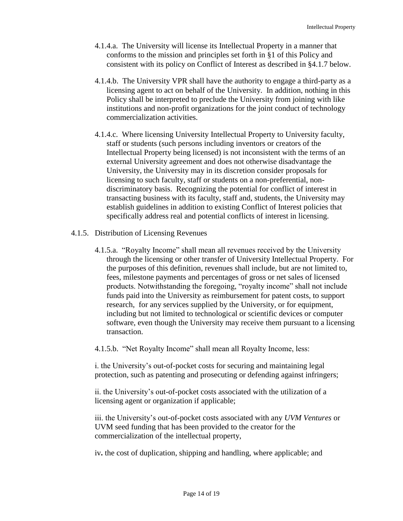- 4.1.4.a. The University will license its Intellectual Property in a manner that conforms to the mission and principles set forth in §1 of this Policy and consistent with its policy on Conflict of Interest as described in §4.1.7 below.
- 4.1.4.b. The University VPR shall have the authority to engage a third-party as a licensing agent to act on behalf of the University. In addition, nothing in this Policy shall be interpreted to preclude the University from joining with like institutions and non-profit organizations for the joint conduct of technology commercialization activities.
- 4.1.4.c. Where licensing University Intellectual Property to University faculty, staff or students (such persons including inventors or creators of the Intellectual Property being licensed) is not inconsistent with the terms of an external University agreement and does not otherwise disadvantage the University, the University may in its discretion consider proposals for licensing to such faculty, staff or students on a non-preferential, nondiscriminatory basis. Recognizing the potential for conflict of interest in transacting business with its faculty, staff and, students, the University may establish guidelines in addition to existing Conflict of Interest policies that specifically address real and potential conflicts of interest in licensing.
- 4.1.5. Distribution of Licensing Revenues
	- 4.1.5.a. "Royalty Income" shall mean all revenues received by the University through the licensing or other transfer of University Intellectual Property. For the purposes of this definition, revenues shall include, but are not limited to, fees, milestone payments and percentages of gross or net sales of licensed products. Notwithstanding the foregoing, "royalty income" shall not include funds paid into the University as reimbursement for patent costs, to support research, for any services supplied by the University, or for equipment, including but not limited to technological or scientific devices or computer software, even though the University may receive them pursuant to a licensing transaction.

4.1.5.b. "Net Royalty Income" shall mean all Royalty Income, less:

i. the University's out-of-pocket costs for securing and maintaining legal protection, such as patenting and prosecuting or defending against infringers;

ii. the University's out-of-pocket costs associated with the utilization of a licensing agent or organization if applicable;

iii. the University's out-of-pocket costs associated with any *UVM Ventures* or UVM seed funding that has been provided to the creator for the commercialization of the intellectual property,

iv**.** the cost of duplication, shipping and handling, where applicable; and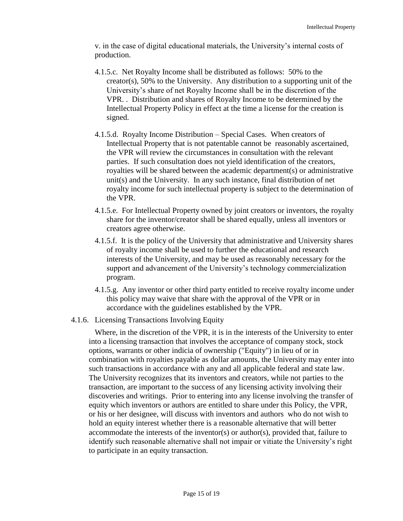v. in the case of digital educational materials, the University's internal costs of production.

- 4.1.5.c. Net Royalty Income shall be distributed as follows: 50% to the creator(s), 50% to the University. Any distribution to a supporting unit of the University's share of net Royalty Income shall be in the discretion of the VPR. . Distribution and shares of Royalty Income to be determined by the Intellectual Property Policy in effect at the time a license for the creation is signed.
- 4.1.5.d. Royalty Income Distribution Special Cases. When creators of Intellectual Property that is not patentable cannot be reasonably ascertained, the VPR will review the circumstances in consultation with the relevant parties. If such consultation does not yield identification of the creators, royalties will be shared between the academic department(s) or administrative unit(s) and the University. In any such instance, final distribution of net royalty income for such intellectual property is subject to the determination of the VPR.
- 4.1.5.e. For Intellectual Property owned by joint creators or inventors, the royalty share for the inventor/creator shall be shared equally, unless all inventors or creators agree otherwise.
- 4.1.5.f. It is the policy of the University that administrative and University shares of royalty income shall be used to further the educational and research interests of the University, and may be used as reasonably necessary for the support and advancement of the University's technology commercialization program.
- 4.1.5.g. Any inventor or other third party entitled to receive royalty income under this policy may waive that share with the approval of the VPR or in accordance with the guidelines established by the VPR.
- 4.1.6. Licensing Transactions Involving Equity

Where, in the discretion of the VPR, it is in the interests of the University to enter into a licensing transaction that involves the acceptance of company stock, stock options, warrants or other indicia of ownership ("Equity") in lieu of or in combination with royalties payable as dollar amounts, the University may enter into such transactions in accordance with any and all applicable federal and state law. The University recognizes that its inventors and creators, while not parties to the transaction, are important to the success of any licensing activity involving their discoveries and writings. Prior to entering into any license involving the transfer of equity which inventors or authors are entitled to share under this Policy, the VPR, or his or her designee, will discuss with inventors and authors who do not wish to hold an equity interest whether there is a reasonable alternative that will better accommodate the interests of the inventor(s) or author(s), provided that, failure to identify such reasonable alternative shall not impair or vitiate the University's right to participate in an equity transaction.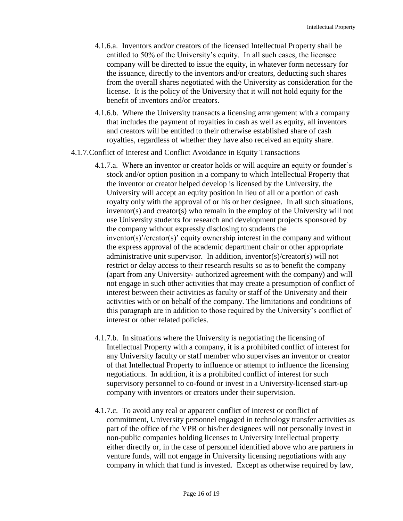- 4.1.6.a. Inventors and/or creators of the licensed Intellectual Property shall be entitled to 50% of the University's equity. In all such cases, the licensee company will be directed to issue the equity, in whatever form necessary for the issuance, directly to the inventors and/or creators, deducting such shares from the overall shares negotiated with the University as consideration for the license. It is the policy of the University that it will not hold equity for the benefit of inventors and/or creators.
- 4.1.6.b. Where the University transacts a licensing arrangement with a company that includes the payment of royalties in cash as well as equity, all inventors and creators will be entitled to their otherwise established share of cash royalties, regardless of whether they have also received an equity share.
- 4.1.7.Conflict of Interest and Conflict Avoidance in Equity Transactions
	- 4.1.7.a. Where an inventor or creator holds or will acquire an equity or founder's stock and/or option position in a company to which Intellectual Property that the inventor or creator helped develop is licensed by the University, the University will accept an equity position in lieu of all or a portion of cash royalty only with the approval of or his or her designee. In all such situations, inventor(s) and creator(s) who remain in the employ of the University will not use University students for research and development projects sponsored by the company without expressly disclosing to students the inventor(s)'/creator(s)' equity ownership interest in the company and without the express approval of the academic department chair or other appropriate administrative unit supervisor. In addition, inventor(s)/creator(s) will not restrict or delay access to their research results so as to benefit the company (apart from any University- authorized agreement with the company) and will not engage in such other activities that may create a presumption of conflict of interest between their activities as faculty or staff of the University and their activities with or on behalf of the company. The limitations and conditions of this paragraph are in addition to those required by the University's conflict of interest or other related policies.
	- 4.1.7.b. In situations where the University is negotiating the licensing of Intellectual Property with a company, it is a prohibited conflict of interest for any University faculty or staff member who supervises an inventor or creator of that Intellectual Property to influence or attempt to influence the licensing negotiations. In addition, it is a prohibited conflict of interest for such supervisory personnel to co-found or invest in a University-licensed start-up company with inventors or creators under their supervision.
	- 4.1.7.c. To avoid any real or apparent conflict of interest or conflict of commitment, University personnel engaged in technology transfer activities as part of the office of the VPR or his/her designees will not personally invest in non-public companies holding licenses to University intellectual property either directly or, in the case of personnel identified above who are partners in venture funds, will not engage in University licensing negotiations with any company in which that fund is invested. Except as otherwise required by law,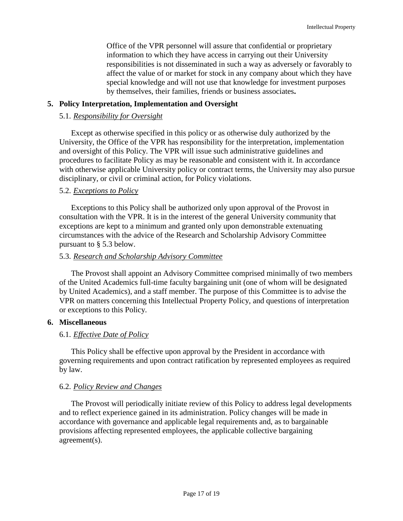Office of the VPR personnel will assure that confidential or proprietary information to which they have access in carrying out their University responsibilities is not disseminated in such a way as adversely or favorably to affect the value of or market for stock in any company about which they have special knowledge and will not use that knowledge for investment purposes by themselves, their families, friends or business associates**.**

#### **5. Policy Interpretation, Implementation and Oversight**

#### 5.1. *Responsibility for Oversight*

Except as otherwise specified in this policy or as otherwise duly authorized by the University, the Office of the VPR has responsibility for the interpretation, implementation and oversight of this Policy. The VPR will issue such administrative guidelines and procedures to facilitate Policy as may be reasonable and consistent with it. In accordance with otherwise applicable University policy or contract terms, the University may also pursue disciplinary, or civil or criminal action, for Policy violations.

#### 5.2. *Exceptions to Policy*

Exceptions to this Policy shall be authorized only upon approval of the Provost in consultation with the VPR. It is in the interest of the general University community that exceptions are kept to a minimum and granted only upon demonstrable extenuating circumstances with the advice of the Research and Scholarship Advisory Committee pursuant to § 5.3 below.

#### 5.3. *Research and Scholarship Advisory Committee*

The Provost shall appoint an Advisory Committee comprised minimally of two members of the United Academics full-time faculty bargaining unit (one of whom will be designated by United Academics), and a staff member. The purpose of this Committee is to advise the VPR on matters concerning this Intellectual Property Policy, and questions of interpretation or exceptions to this Policy.

#### **6. Miscellaneous**

### 6.1. *Effective Date of Policy*

This Policy shall be effective upon approval by the President in accordance with governing requirements and upon contract ratification by represented employees as required by law.

### 6.2. *Policy Review and Changes*

The Provost will periodically initiate review of this Policy to address legal developments and to reflect experience gained in its administration. Policy changes will be made in accordance with governance and applicable legal requirements and, as to bargainable provisions affecting represented employees, the applicable collective bargaining agreement(s).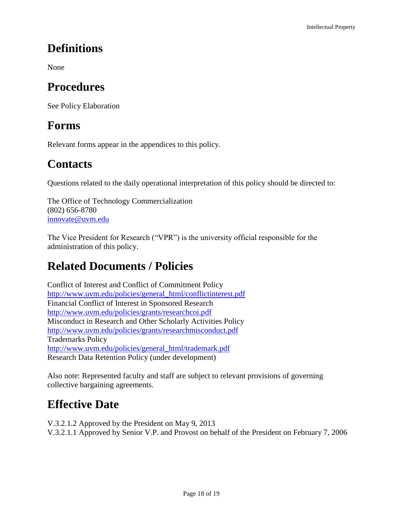# **Definitions**

None

# **Procedures**

See Policy Elaboration

# **Forms**

Relevant forms appear in the appendices to this policy.

# **Contacts**

Questions related to the daily operational interpretation of this policy should be directed to:

The Office of Technology Commercialization (802) 656-8780 [innovate@uvm.edu](mailto:innovate@uvm.edu)

The Vice President for Research ("VPR") is the university official responsible for the administration of this policy.

# **Related Documents / Policies**

Conflict of Interest and Conflict of Commitment Policy [http://www.uvm.edu/policies/general\\_html/conflictinterest.pdf](http://www.uvm.edu/policies/general_html/conflictinterest.pdf) Financial Conflict of Interest in Sponsored Research <http://www.uvm.edu/policies/grants/researchcoi.pdf> Misconduct in Research and Other Scholarly Activities Policy <http://www.uvm.edu/policies/grants/researchmisconduct.pdf> Trademarks Policy [http://www.uvm.edu/policies/general\\_html/trademark.pdf](http://www.uvm.edu/policies/general_html/trademark.pdf) Research Data Retention Policy (under development)

Also note: Represented faculty and staff are subject to relevant provisions of governing collective bargaining agreements.

# **Effective Date**

V.3.2.1.2 Approved by the President on May 9, 2013 V.3.2.1.1 Approved by Senior V.P. and Provost on behalf of the President on February 7, 2006